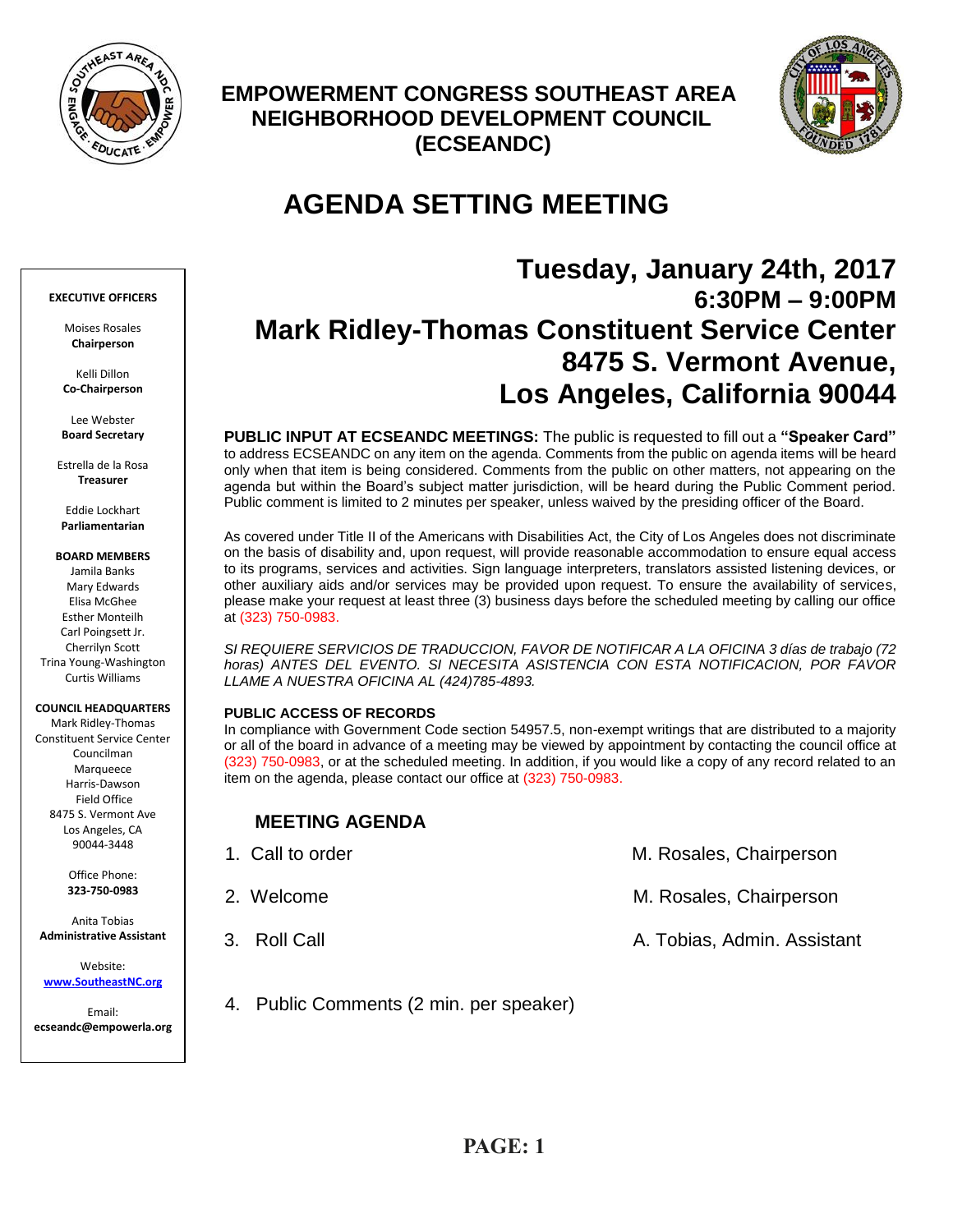

## **EMPOWERMENT CONGRESS SOUTHEAST AREA NEIGHBORHOOD DEVELOPMENT COUNCIL (ECSEANDC)**



# **AGENDA SETTING MEETING**

# **Tuesday, January 24th, 2017 6:30PM – 9:00PM Mark Ridley-Thomas Constituent Service Center 8475 S. Vermont Avenue, Los Angeles, California 90044**

**PUBLIC INPUT AT ECSEANDC MEETINGS:** The public is requested to fill out a **"Speaker Card"**  to address ECSEANDC on any item on the agenda. Comments from the public on agenda items will be heard only when that item is being considered. Comments from the public on other matters, not appearing on the agenda but within the Board's subject matter jurisdiction, will be heard during the Public Comment period. Public comment is limited to 2 minutes per speaker, unless waived by the presiding officer of the Board.

As covered under Title II of the Americans with Disabilities Act, the City of Los Angeles does not discriminate on the basis of disability and, upon request, will provide reasonable accommodation to ensure equal access to its programs, services and activities. Sign language interpreters, translators assisted listening devices, or other auxiliary aids and/or services may be provided upon request. To ensure the availability of services, please make your request at least three (3) business days before the scheduled meeting by calling our office at (323) 750-0983.

*SI REQUIERE SERVICIOS DE TRADUCCION, FAVOR DE NOTIFICAR A LA OFICINA 3 días de trabajo (72*  horas) ANTES DEL EVENTO. SI NECESITA ASISTENCIA CON ESTA NOTIFICACION, POR FAVOR *LLAME A NUESTRA OFICINA AL (424)785-4893.*

#### **PUBLIC ACCESS OF RECORDS**

In compliance with Government Code section 54957.5, non-exempt writings that are distributed to a majority or all of the board in advance of a meeting may be viewed by appointment by contacting the council office at (323) 750-0983, or at the scheduled meeting. In addition, if you would like a copy of any record related to an item on the agenda, please contact our office at (323) 750-0983.

### **MEETING AGENDA**

| 1. Call to order | M. Rosales, Chairperson     |
|------------------|-----------------------------|
| 2. Welcome       | M. Rosales, Chairperson     |
| 3. Roll Call     | A. Tobias, Admin. Assistant |

4. Public Comments (2 min. per speaker)

#### **EXECUTIVE OFFICERS**

Moises Rosales **Chairperson**

Kelli Dillon **Co-Chairperson**

Lee Webster **Board Secretary**

Estrella de la Rosa **Treasurer**

Eddie Lockhart **Parliamentarian**

## **BOARD MEMBERS**

Jamila Banks Mary Edwards Elisa McGhee Esther Monteilh Carl Poingsett Jr. Cherrilyn Scott Trina Young-Washington Curtis Williams

#### **COUNCIL HEADQUARTERS**

Mark Ridley-Thomas Constituent Service Center Councilman Marqueece Harris-Dawson Field Office 8475 S. Vermont Ave Los Angeles, CA 90044-3448

> Office Phone: **323-750-0983**

Anita Tobias **Administrative Assistant**

Website: **[www.SoutheastNC.org](http://www.ecseandc.org/)**

Email: **ecseandc@empowerla.org**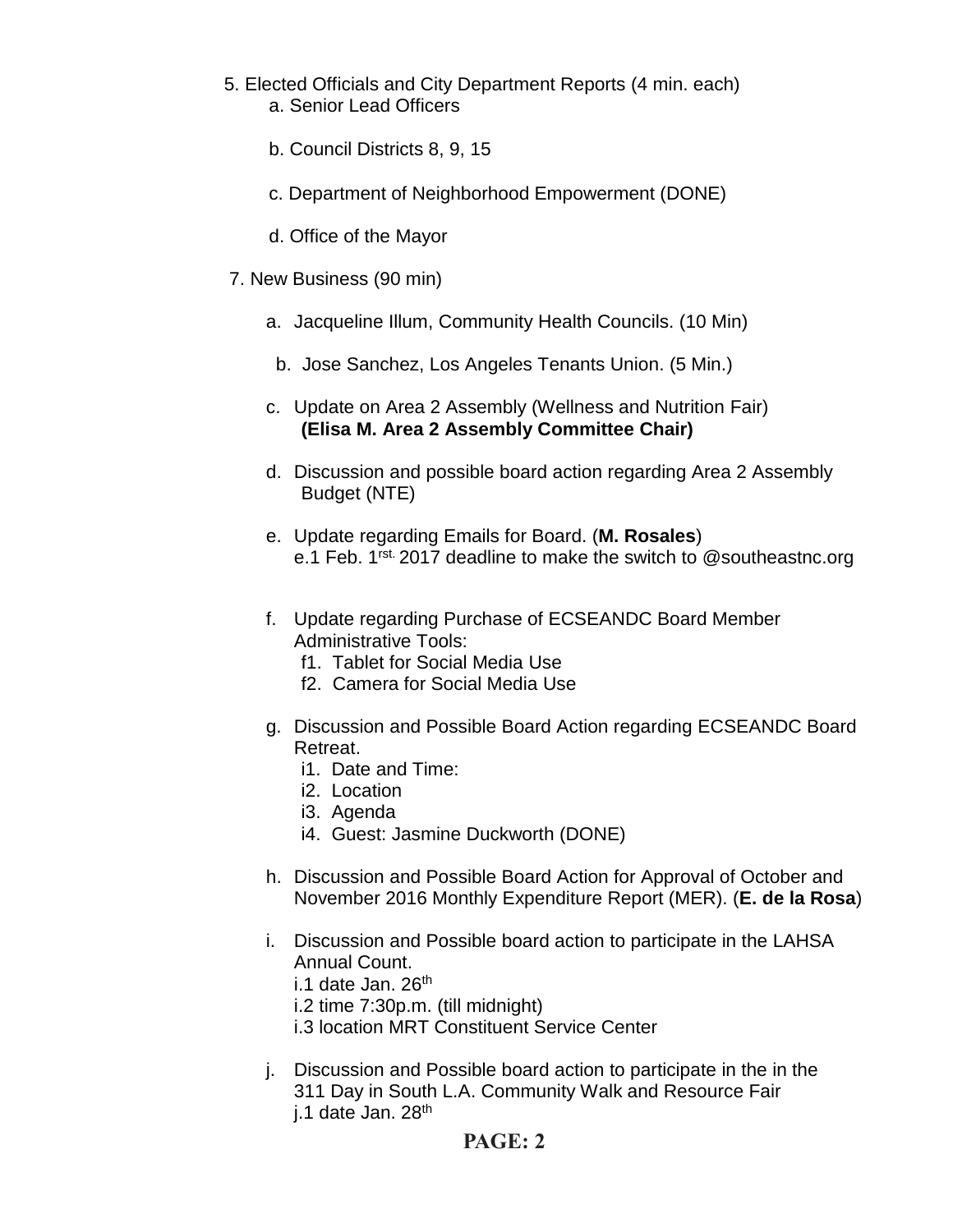- 5. Elected Officials and City Department Reports (4 min. each) a. Senior Lead Officers
	- b. Council Districts 8, 9, 15
	- c. Department of Neighborhood Empowerment (DONE)
	- d. Office of the Mayor
- 7. New Business (90 min)
	- a. Jacqueline Illum, Community Health Councils. (10 Min)
	- b. Jose Sanchez, Los Angeles Tenants Union. (5 Min.)
	- c. Update on Area 2 Assembly (Wellness and Nutrition Fair) **(Elisa M. Area 2 Assembly Committee Chair)**
	- d. Discussion and possible board action regarding Area 2 Assembly Budget (NTE)
	- e. Update regarding Emails for Board. (**M. Rosales**) e.1 Feb. 1<sup>rst.</sup> 2017 deadline to make the switch to @southeastnc.org
	- f. Update regarding Purchase of ECSEANDC Board Member Administrative Tools:
		- f1. Tablet for Social Media Use
		- f2. Camera for Social Media Use
	- g. Discussion and Possible Board Action regarding ECSEANDC Board Retreat.
		- i1. Date and Time:
		- i2. Location
		- i3. Agenda
		- i4. Guest: Jasmine Duckworth (DONE)
	- h. Discussion and Possible Board Action for Approval of October and November 2016 Monthly Expenditure Report (MER). (**E. de la Rosa**)
	- i. Discussion and Possible board action to participate in the LAHSA Annual Count.

i.1 date Jan.  $26<sup>th</sup>$ 

- i.2 time 7:30p.m. (till midnight)
- i.3 location MRT Constituent Service Center
- j. Discussion and Possible board action to participate in the in the 311 Day in South L.A. Community Walk and Resource Fair j.1 date Jan. 28<sup>th</sup>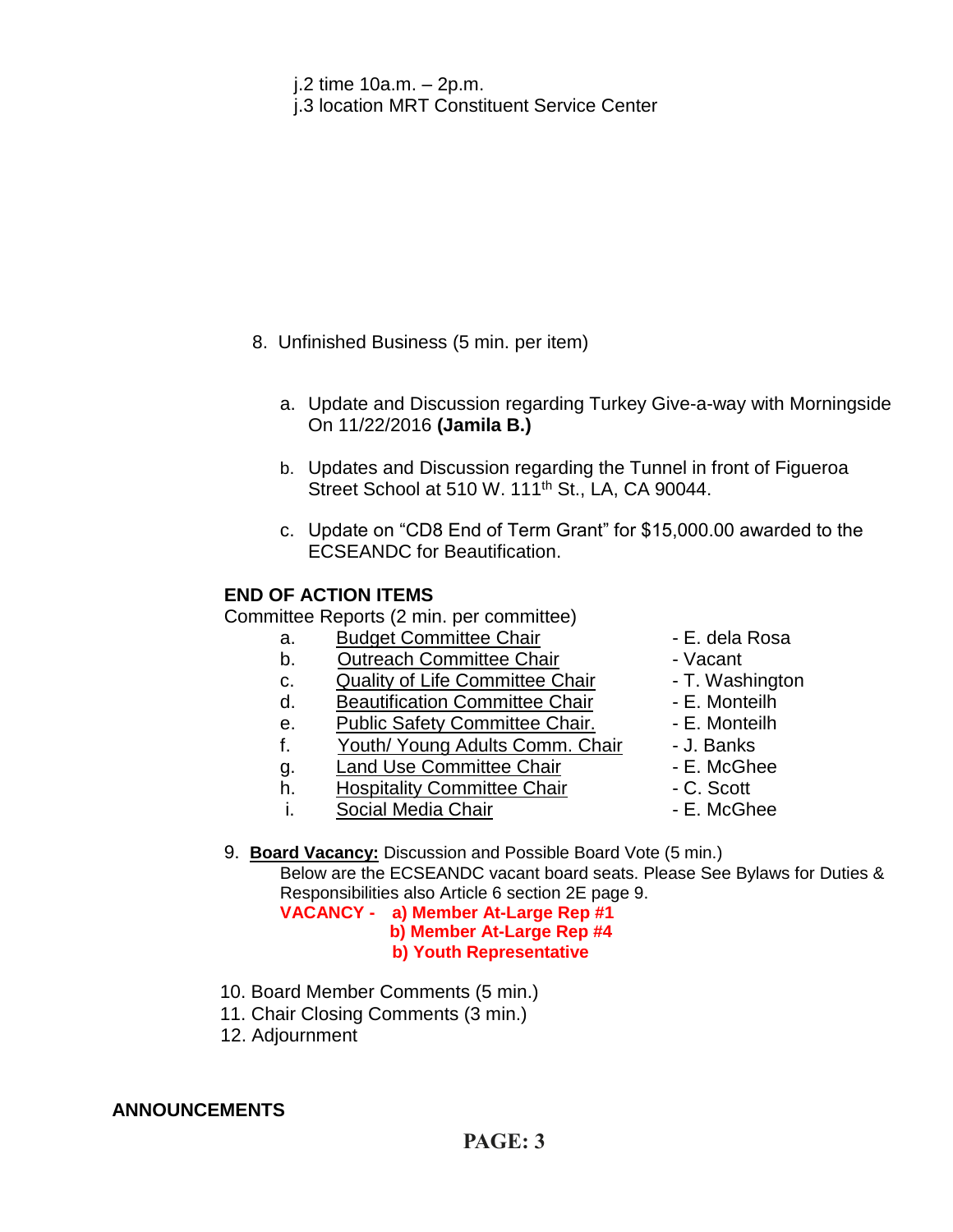- j.2 time 10a.m. 2p.m.
- j.3 location MRT Constituent Service Center

- 8. Unfinished Business (5 min. per item)
	- a. Update and Discussion regarding Turkey Give-a-way with Morningside On 11/22/2016 **(Jamila B.)**
	- b. Updates and Discussion regarding the Tunnel in front of Figueroa Street School at 510 W. 111<sup>th</sup> St., LA, CA 90044.
	- c. Update on "CD8 End of Term Grant" for \$15,000.00 awarded to the ECSEANDC for Beautification.

### **END OF ACTION ITEMS**

Committee Reports (2 min. per committee)

- a. Budget Committee Chair  **E. dela Rosa**
- b. Outreach Committee Chair **Dans** Vacant
- c. Quality of Life Committee Chair T. Washington
- d. Beautification Committee Chair Fame E. Monteilh
- e. Public Safety Committee Chair. E. Monteilh
- f. Youth/ Young Adults Comm. Chair J. Banks
- g. Land Use Committee Chair **E. McGhee**
- h. Hospitality Committee Chair C. Scott
- i. Social Media Chair **Chair F. McGhee**
- 
- 
- 
- 
- 
- 
- 
- 
- 

9. **Board Vacancy:** Discussion and Possible Board Vote (5 min.) Below are the ECSEANDC vacant board seats. Please See Bylaws for Duties & Responsibilities also Article 6 section 2E page 9. **VACANCY - a) Member At-Large Rep #1**

 **b) Member At-Large Rep #4 b) Youth Representative**

- 10. Board Member Comments (5 min.)
- 11. Chair Closing Comments (3 min.)
- 12. Adjournment

### **ANNOUNCEMENTS**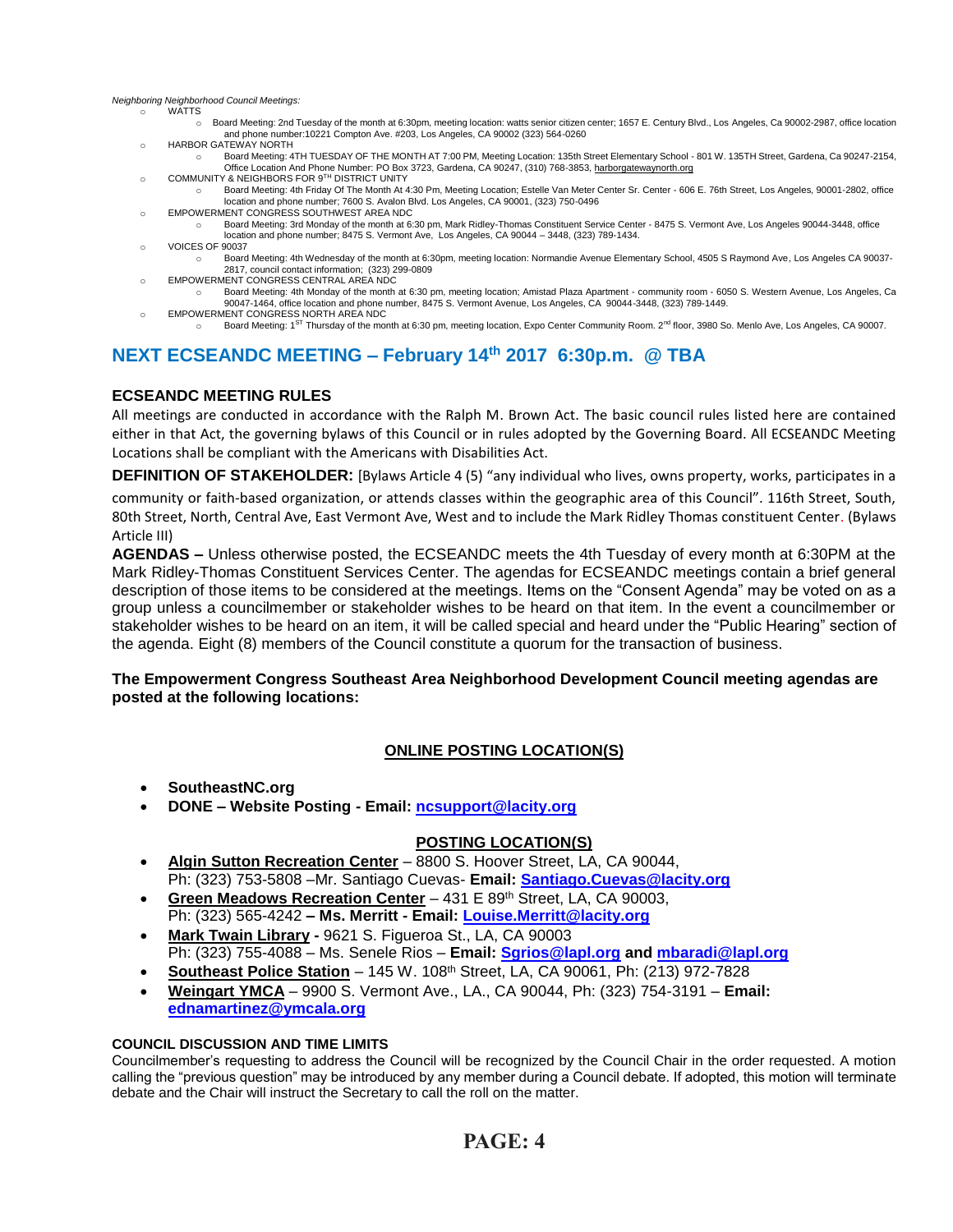*Neighboring Neighborhood Council Meetings:*

- oonny noisinsoir<br>o WATTS
	- o Board Meeting: 2nd Tuesday of the month at 6:30pm, meeting location: watts senior citizen center; 1657 E. Century Blvd., Los Angeles, Ca 90002-2987, office location and phone number:10221 Compton Ave. #203, Los Angeles, CA 90002 (323) 564-0260
	- o HARBOR GATEWAY NORTH
	- o Board Meeting: 4TH TUESDAY OF THE MONTH AT 7:00 PM, Meeting Location: 135th Street Elementary School 801 W. 135TH Street, Gardena, Ca 90247-2154, om Coffice Location And Phone Number: PO Box 3723, Gardena, CA 90247, (310) 768-3853, <u>harborgatewaynorth.org وC</u>OMMUNITY & NEIGHBORS FOR 9<sup>TH</sup> DISTRICT UNITY
	- o Board Meeting: 4th Friday Of The Month At 4:30 Pm, Meeting Location; Estelle Van Meter Center Sr. Center 606 E. 76th Street, Los Angeles, 90001-2802, office location and phone number; 7600 S. Avalon Blvd. Los Angeles, CA 90001, (323) 750-0496
	- o EMPOWERMENT CONGRESS SOUTHWEST AREA NDC
	- o Board Meeting: 3rd Monday of the month at 6:30 pm, Mark Ridley-Thomas Constituent Service Center 8475 S. Vermont Ave, Los Angeles 90044-3448, office location and phone number; 8475 S. Vermont Ave, Los Angeles, CA 90044 – 3448, (323) 789-1434.
	- o VOICES OF 90037
		- o Board Meeting: 4th Wednesday of the month at 6:30pm, meeting location: Normandie Avenue Elementary School, 4505 S Raymond Ave, Los Angeles CA 90037- 2817, council contact information; (323) 299-0809
	- o EMPOWERMENT CONGRESS CENTRAL AREA NDC
	- o Board Meeting: 4th Monday of the month at 6:30 pm, meeting location; Amistad Plaza Apartment community room 6050 S. Western Avenue, Los Angeles, Ca 90047-1464, office location and phone number, 8475 S. Vermont Avenue, Los Angeles, CA 90044-3448, (323) 789-1449. o EMPOWERMENT CONGRESS NORTH AREA NDC
	- o Board Meeting: 1<sup>ST</sup> Thursday of the month at 6:30 pm, meeting location, Expo Center Community Room. 2<sup>nd</sup> floor, 3980 So. Menlo Ave, Los Angeles, CA 90007.

### **NEXT ECSEANDC MEETING – February 14th 2017 6:30p.m. @ TBA**

### **ECSEANDC MEETING RULES**

All meetings are conducted in accordance with the Ralph M. Brown Act. The basic council rules listed here are contained either in that Act, the governing bylaws of this Council or in rules adopted by the Governing Board. All ECSEANDC Meeting Locations shall be compliant with the Americans with Disabilities Act.

**DEFINITION OF STAKEHOLDER:** [Bylaws Article 4 (5) "any individual who lives, owns property, works, participates in a

community or faith-based organization, or attends classes within the geographic area of this Council". 116th Street, South, 80th Street, North, Central Ave, East Vermont Ave, West and to include the Mark Ridley Thomas constituent Center. (Bylaws Article III)

**AGENDAS –** Unless otherwise posted, the ECSEANDC meets the 4th Tuesday of every month at 6:30PM at the Mark Ridley-Thomas Constituent Services Center. The agendas for ECSEANDC meetings contain a brief general description of those items to be considered at the meetings. Items on the "Consent Agenda" may be voted on as a group unless a councilmember or stakeholder wishes to be heard on that item. In the event a councilmember or stakeholder wishes to be heard on an item, it will be called special and heard under the "Public Hearing" section of the agenda. Eight (8) members of the Council constitute a quorum for the transaction of business.

### **The Empowerment Congress Southeast Area Neighborhood Development Council meeting agendas are posted at the following locations:**

### **ONLINE POSTING LOCATION(S)**

- **SoutheastNC.org**
- **DONE – Website Posting - Email: [ncsupport@lacity.org](mailto:ncsupport@lacity.org)**

### **POSTING LOCATION(S)**

- **Algin Sutton Recreation Center** 8800 S. Hoover Street, LA, CA 90044, Ph: (323) 753-5808 –Mr. Santiago Cuevas- **Email: [Santiago.Cuevas@lacity.org](mailto:Santiago.Cuevas@lacity.org)**
- **Green Meadows Recreation Center** 431 E 89th Street, LA, CA 90003, Ph: (323) 565-4242 **– Ms. Merritt - Email: [Louise.Merritt@lacity.org](mailto:Louise.Merritt@lacity.org)**
- **Mark Twain Library -** 9621 S. Figueroa St., LA, CA 90003 Ph: (323) 755-4088 – Ms. Senele Rios – **Email: [Sgrios@lapl.org](mailto:Sgrios@lapl.org) and mbaradi@lapl.org**
- **Southeast Police Station** 145 W. 108th Street, LA, CA 90061, Ph: (213) 972-7828
- **Weingart YMCA** 9900 S. Vermont Ave., LA., CA 90044, Ph: (323) 754-3191 **Email: ednamartinez@ymcala.org**

#### **COUNCIL DISCUSSION AND TIME LIMITS**

Councilmember's requesting to address the Council will be recognized by the Council Chair in the order requested. A motion calling the "previous question" may be introduced by any member during a Council debate. If adopted, this motion will terminate debate and the Chair will instruct the Secretary to call the roll on the matter.